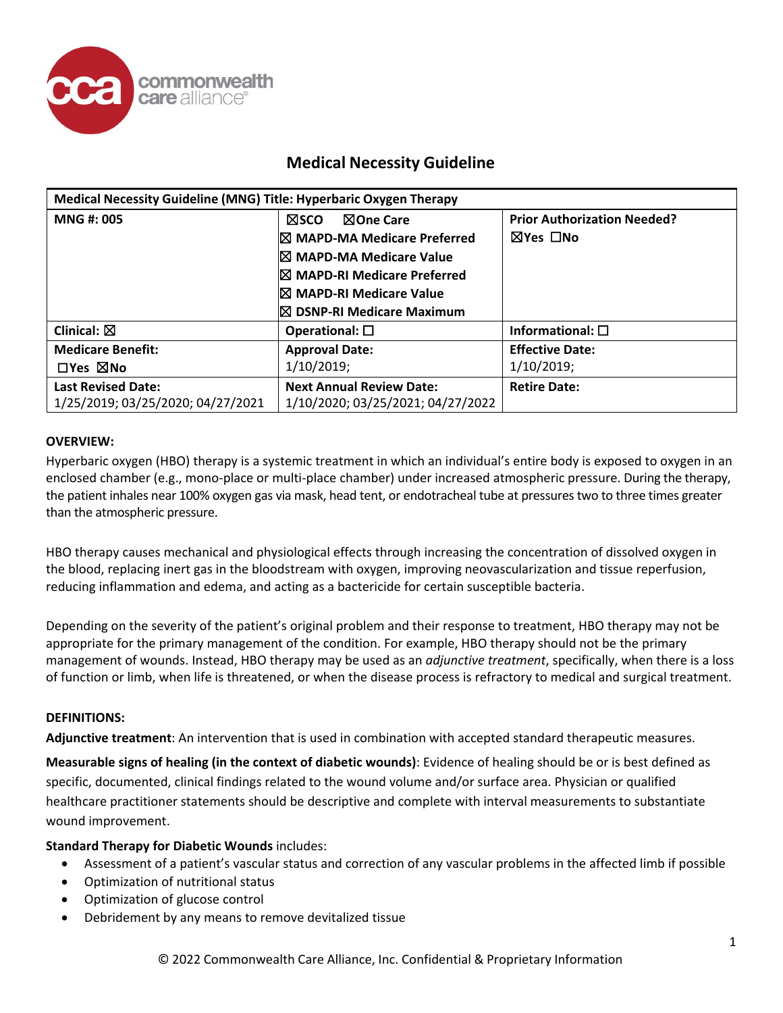

| Medical Necessity Guideline (MNG) Title: Hyperbaric Oxygen Therapy |                                                                                                                                  |                                                |
|--------------------------------------------------------------------|----------------------------------------------------------------------------------------------------------------------------------|------------------------------------------------|
| <b>MNG#: 005</b>                                                   | ⊠One Care<br>⊠sco<br>$\boxtimes$ MAPD-MA Medicare Preferred<br>I⊠ MAPD-MA Medicare Value<br><b>IX MAPD-RI Medicare Preferred</b> | <b>Prior Authorization Needed?</b><br>⊠Yes □No |
|                                                                    | I⊠ MAPD-RI Medicare Value<br><sup>I</sup> ⊠ DSNP-RI Medicare Maximum                                                             |                                                |
| Clinical: $\boxtimes$                                              | Operational: $\square$                                                                                                           | Informational: $\square$                       |
| <b>Medicare Benefit:</b>                                           | <b>Approval Date:</b>                                                                                                            | <b>Effective Date:</b>                         |
| $\Box$ Yes $\boxtimes$ No                                          | 1/10/2019;                                                                                                                       | 1/10/2019;                                     |
| <b>Last Revised Date:</b><br>1/25/2019; 03/25/2020; 04/27/2021     | <b>Next Annual Review Date:</b><br>1/10/2020; 03/25/2021; 04/27/2022                                                             | <b>Retire Date:</b>                            |

### **OVERVIEW:**

Hyperbaric oxygen (HBO) therapy is a systemic treatment in which an individual's entire body is exposed to oxygen in an enclosed chamber (e.g., mono-place or multi-place chamber) under increased atmospheric pressure. During the therapy, the patient inhales near 100% oxygen gas via mask, head tent, or endotracheal tube at pressures two to three times greater than the atmospheric pressure.

HBO therapy causes mechanical and physiological effects through increasing the concentration of dissolved oxygen in the blood, replacing inert gas in the bloodstream with oxygen, improving neovascularization and tissue reperfusion, reducing inflammation and edema, and acting as a bactericide for certain susceptible bacteria.

Depending on the severity of the patient's original problem and their response to treatment, HBO therapy may not be appropriate for the primary management of the condition. For example, HBO therapy should not be the primary management of wounds. Instead, HBO therapy may be used as an *adjunctive treatment*, specifically, when there is a loss of function or limb, when life is threatened, or when the disease process is refractory to medical and surgical treatment.

### **DEFINITIONS:**

**Adjunctive treatment**: An intervention that is used in combination with accepted standard therapeutic measures.

**Measurable signs of healing (in the context of diabetic wounds)**: Evidence of healing should be or is best defined as specific, documented, clinical findings related to the wound volume and/or surface area. Physician or qualified healthcare practitioner statements should be descriptive and complete with interval measurements to substantiate wound improvement.

### **Standard Therapy for Diabetic Wounds** includes:

- Assessment of a patient's vascular status and correction of any vascular problems in the affected limb if possible
- Optimization of nutritional status
- Optimization of glucose control
- Debridement by any means to remove devitalized tissue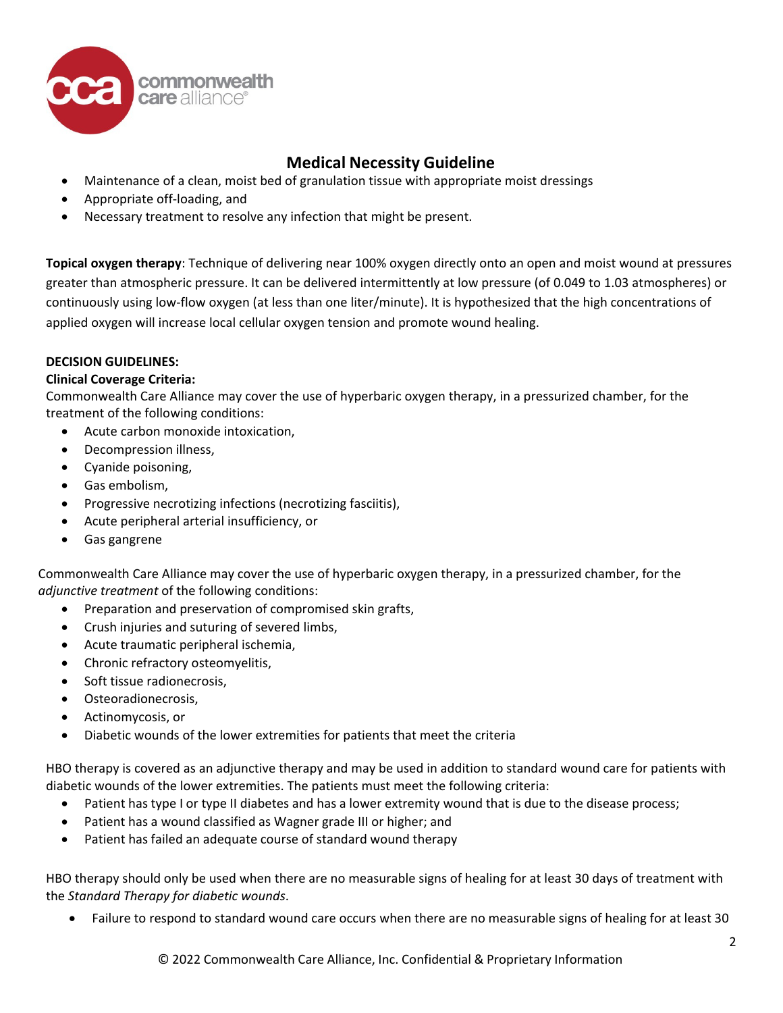

- Maintenance of a clean, moist bed of granulation tissue with appropriate moist dressings
- Appropriate off-loading, and
- Necessary treatment to resolve any infection that might be present.

**Topical oxygen therapy**: Technique of delivering near 100% oxygen directly onto an open and moist wound at pressures greater than atmospheric pressure. It can be delivered intermittently at low pressure (of 0.049 to 1.03 atmospheres) or continuously using low-flow oxygen (at less than one liter/minute). It is hypothesized that the high concentrations of applied oxygen will increase local cellular oxygen tension and promote wound healing.

### **DECISION GUIDELINES:**

### **Clinical Coverage Criteria:**

Commonwealth Care Alliance may cover the use of hyperbaric oxygen therapy, in a pressurized chamber, for the treatment of the following conditions:

- Acute carbon monoxide intoxication,
- Decompression illness,
- Cyanide poisoning,
- Gas embolism,
- Progressive necrotizing infections (necrotizing fasciitis),
- Acute peripheral arterial insufficiency, or
- Gas gangrene

Commonwealth Care Alliance may cover the use of hyperbaric oxygen therapy, in a pressurized chamber, for the *adjunctive treatment* of the following conditions:

- Preparation and preservation of compromised skin grafts,
- Crush injuries and suturing of severed limbs,
- Acute traumatic peripheral ischemia,
- Chronic refractory osteomyelitis,
- Soft tissue radionecrosis,
- Osteoradionecrosis,
- Actinomycosis, or
- Diabetic wounds of the lower extremities for patients that meet the criteria

HBO therapy is covered as an adjunctive therapy and may be used in addition to standard wound care for patients with diabetic wounds of the lower extremities. The patients must meet the following criteria:

- Patient has type I or type II diabetes and has a lower extremity wound that is due to the disease process;
- Patient has a wound classified as Wagner grade III or higher; and
- Patient has failed an adequate course of standard wound therapy

HBO therapy should only be used when there are no measurable signs of healing for at least 30 days of treatment with the *Standard Therapy for diabetic wounds*.

• Failure to respond to standard wound care occurs when there are no measurable signs of healing for at least 30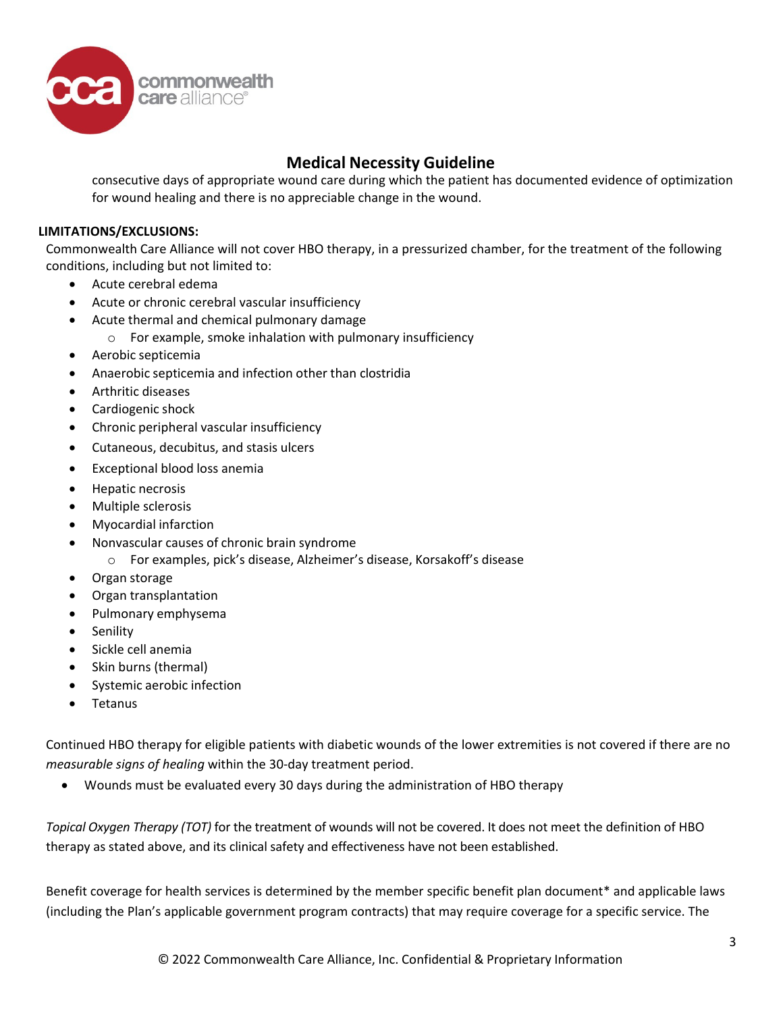

consecutive days of appropriate wound care during which the patient has documented evidence of optimization for wound healing and there is no appreciable change in the wound.

### **LIMITATIONS/EXCLUSIONS:**

Commonwealth Care Alliance will not cover HBO therapy, in a pressurized chamber, for the treatment of the following conditions, including but not limited to:

- Acute cerebral edema
- Acute or chronic cerebral vascular insufficiency
- Acute thermal and chemical pulmonary damage
	- o For example, smoke inhalation with pulmonary insufficiency
- Aerobic septicemia
- Anaerobic septicemia and infection other than clostridia
- Arthritic diseases
- Cardiogenic shock
- Chronic peripheral vascular insufficiency
- Cutaneous, decubitus, and stasis ulcers
- Exceptional blood loss anemia
- Hepatic necrosis
- Multiple sclerosis
- Myocardial infarction
- Nonvascular causes of chronic brain syndrome
	- o For examples, pick's disease, Alzheimer's disease, Korsakoff's disease
- Organ storage
- Organ transplantation
- Pulmonary emphysema
- Senility
- Sickle cell anemia
- Skin burns (thermal)
- Systemic aerobic infection
- Tetanus

Continued HBO therapy for eligible patients with diabetic wounds of the lower extremities is not covered if there are no *measurable signs of healing* within the 30-day treatment period.

• Wounds must be evaluated every 30 days during the administration of HBO therapy

*Topical Oxygen Therapy (TOT)* for the treatment of wounds will not be covered. It does not meet the definition of HBO therapy as stated above, and its clinical safety and effectiveness have not been established.

Benefit coverage for health services is determined by the member specific benefit plan document\* and applicable laws (including the Plan's applicable government program contracts) that may require coverage for a specific service. The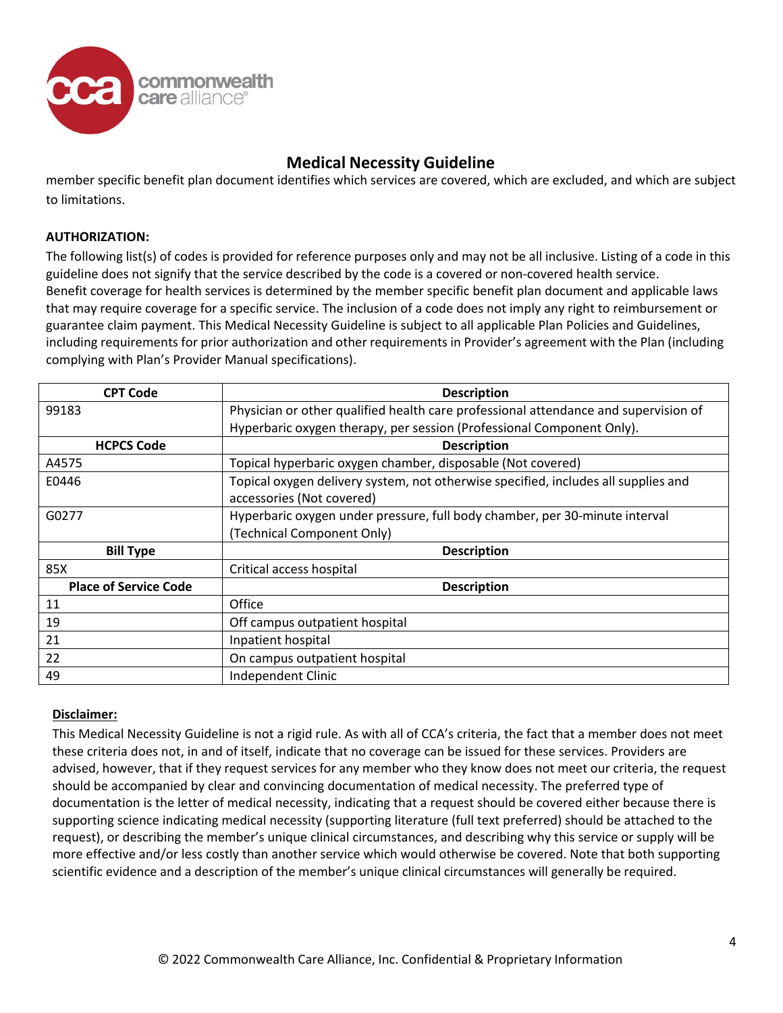

member specific benefit plan document identifies which services are covered, which are excluded, and which are subject to limitations.

### **AUTHORIZATION:**

The following list(s) of codes is provided for reference purposes only and may not be all inclusive. Listing of a code in this guideline does not signify that the service described by the code is a covered or non-covered health service. Benefit coverage for health services is determined by the member specific benefit plan document and applicable laws that may require coverage for a specific service. The inclusion of a code does not imply any right to reimbursement or guarantee claim payment. This Medical Necessity Guideline is subject to all applicable Plan Policies and Guidelines, including requirements for prior authorization and other requirements in Provider's agreement with the Plan (including complying with Plan's Provider Manual specifications).

| <b>CPT Code</b>              | <b>Description</b>                                                                  |  |
|------------------------------|-------------------------------------------------------------------------------------|--|
| 99183                        | Physician or other qualified health care professional attendance and supervision of |  |
|                              | Hyperbaric oxygen therapy, per session (Professional Component Only).               |  |
| <b>HCPCS Code</b>            | <b>Description</b>                                                                  |  |
| A4575                        | Topical hyperbaric oxygen chamber, disposable (Not covered)                         |  |
| E0446                        | Topical oxygen delivery system, not otherwise specified, includes all supplies and  |  |
|                              | accessories (Not covered)                                                           |  |
| G0277                        | Hyperbaric oxygen under pressure, full body chamber, per 30-minute interval         |  |
|                              | (Technical Component Only)                                                          |  |
| <b>Bill Type</b>             | <b>Description</b>                                                                  |  |
| 85X                          | Critical access hospital                                                            |  |
| <b>Place of Service Code</b> | <b>Description</b>                                                                  |  |
| 11                           | Office                                                                              |  |
| 19                           | Off campus outpatient hospital                                                      |  |
| 21                           | Inpatient hospital                                                                  |  |
| 22                           | On campus outpatient hospital                                                       |  |
| 49                           | Independent Clinic                                                                  |  |

### **Disclaimer:**

This Medical Necessity Guideline is not a rigid rule. As with all of CCA's criteria, the fact that a member does not meet these criteria does not, in and of itself, indicate that no coverage can be issued for these services. Providers are advised, however, that if they request services for any member who they know does not meet our criteria, the request should be accompanied by clear and convincing documentation of medical necessity. The preferred type of documentation is the letter of medical necessity, indicating that a request should be covered either because there is supporting science indicating medical necessity (supporting literature (full text preferred) should be attached to the request), or describing the member's unique clinical circumstances, and describing why this service or supply will be more effective and/or less costly than another service which would otherwise be covered. Note that both supporting scientific evidence and a description of the member's unique clinical circumstances will generally be required.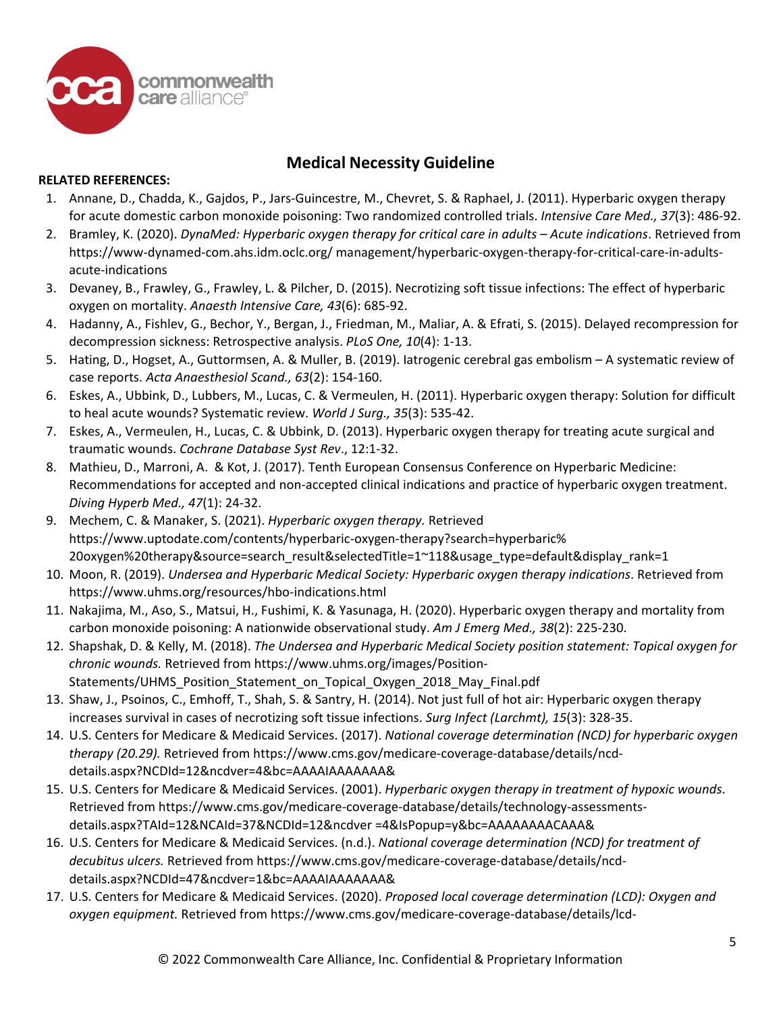

### **RELATED REFERENCES:**

- 1. Annane, D., Chadda, K., Gajdos, P., Jars-Guincestre, M., Chevret, S. & Raphael, J. (2011). Hyperbaric oxygen therapy for acute domestic carbon monoxide poisoning: Two randomized controlled trials. *Intensive Care Med., 37*(3): 486-92.
- 2. Bramley, K. (2020). *DynaMed: Hyperbaric oxygen therapy for critical care in adults – Acute indications*. Retrieved from https://www-dynamed-com.ahs.idm.oclc.org/ management/hyperbaric-oxygen-therapy-for-critical-care-in-adultsacute-indications
- 3. Devaney, B., Frawley, G., Frawley, L. & Pilcher, D. (2015). Necrotizing soft tissue infections: The effect of hyperbaric oxygen on mortality. *Anaesth Intensive Care, 43*(6): 685-92.
- 4. Hadanny, A., Fishlev, G., Bechor, Y., Bergan, J., Friedman, M., Maliar, A. & Efrati, S. (2015). Delayed recompression for decompression sickness: Retrospective analysis. *PLoS One, 10*(4): 1-13.
- 5. Hating, D., Hogset, A., Guttormsen, A. & Muller, B. (2019). Iatrogenic cerebral gas embolism A systematic review of case reports. *Acta Anaesthesiol Scand., 63*(2): 154-160.
- 6. Eskes, A., Ubbink, D., Lubbers, M., Lucas, C. & Vermeulen, H. (2011). Hyperbaric oxygen therapy: Solution for difficult to heal acute wounds? Systematic review. *World J Surg., 35*(3): 535-42.
- 7. Eskes, A., Vermeulen, H., Lucas, C. & Ubbink, D. (2013). Hyperbaric oxygen therapy for treating acute surgical and traumatic wounds. *Cochrane Database Syst Rev*., 12:1-32.
- 8. Mathieu, D., Marroni, A. & Kot, J. (2017). Tenth European Consensus Conference on Hyperbaric Medicine: Recommendations for accepted and non-accepted clinical indications and practice of hyperbaric oxygen treatment. *Diving Hyperb Med., 47*(1): 24-32.
- 9. Mechem, C. & Manaker, S. (2021). *Hyperbaric oxygen therapy.* Retrieved https://www.uptodate.com/contents/hyperbaric-oxygen-therapy?search=hyperbaric% 20oxygen%20therapy&source=search\_result&selectedTitle=1~118&usage\_type=default&display\_rank=1
- 10. Moon, R. (2019). *Undersea and Hyperbaric Medical Society: Hyperbaric oxygen therapy indications*. Retrieved from https://www.uhms.org/resources/hbo-indications.html
- 11. Nakajima, M., Aso, S., Matsui, H., Fushimi, K. & Yasunaga, H. (2020). Hyperbaric oxygen therapy and mortality from carbon monoxide poisoning: A nationwide observational study. *Am J Emerg Med., 38*(2): 225-230.
- 12. Shapshak, D. & Kelly, M. (2018). *The Undersea and Hyperbaric Medical Society position statement: Topical oxygen for chronic wounds.* Retrieved from https://www.uhms.org/images/Position-Statements/UHMS\_Position\_Statement\_on\_Topical\_Oxygen\_2018\_May\_Final.pdf
- 13. Shaw, J., Psoinos, C., Emhoff, T., Shah, S. & Santry, H. (2014). Not just full of hot air: Hyperbaric oxygen therapy increases survival in cases of necrotizing soft tissue infections. *Surg Infect (Larchmt), 15*(3): 328-35.
- 14. U.S. Centers for Medicare & Medicaid Services. (2017). *National coverage determination (NCD) for hyperbaric oxygen therapy (20.29).* Retrieved from https://www.cms.gov/medicare-coverage-database/details/ncddetails.aspx?NCDId=12&ncdver=4&bc=AAAAIAAAAAAA&
- 15. U.S. Centers for Medicare & Medicaid Services. (2001). *Hyperbaric oxygen therapy in treatment of hypoxic wounds*. Retrieved from https://www.cms.gov/medicare-coverage-database/details/technology-assessmentsdetails.aspx?TAId=12&NCAId=37&NCDId=12&ncdver =4&IsPopup=y&bc=AAAAAAAACAAA&
- 16. U.S. Centers for Medicare & Medicaid Services. (n.d.). *National coverage determination (NCD) for treatment of decubitus ulcers.* Retrieved from https://www.cms.gov/medicare-coverage-database/details/ncddetails.aspx?NCDId=47&ncdver=1&bc=AAAAIAAAAAAA&
- 17. U.S. Centers for Medicare & Medicaid Services. (2020). *Proposed local coverage determination (LCD): Oxygen and oxygen equipment.* Retrieved fro[m https://www.cms.gov/medicare-coverage-database/details/lcd-](https://www.cms.gov/medicare-coverage-database/details/lcd-details.aspx?LCDId=38507&ver=13&DocType=1&Cntrctr=240&bc)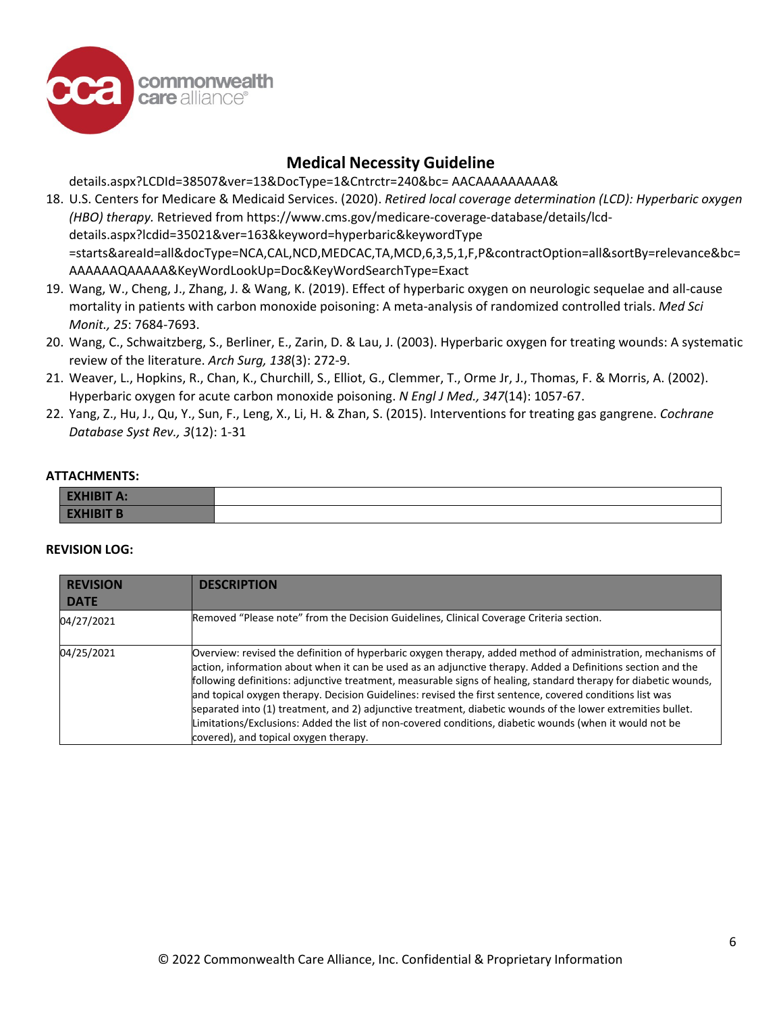

[details.aspx?LCDId=38507&ver=13&DocType=1&Cntrctr=240&bc=](https://www.cms.gov/medicare-coverage-database/details/lcd-details.aspx?LCDId=38507&ver=13&DocType=1&Cntrctr=240&bc) AACAAAAAAAAA&

- 18. U.S. Centers for Medicare & Medicaid Services. (2020). *Retired local coverage determination (LCD): Hyperbaric oxygen (HBO) therapy.* Retrieved from https://www.cms.gov/medicare-coverage-database/details/lcddetails.aspx?lcdid=35021&ver=163&keyword=hyperbaric&keywordType =starts&areaId=all&docType=NCA,CAL,NCD,MEDCAC,TA,MCD,6,3,5,1,F,P&contractOption=all&sortBy=relevance&bc= AAAAAAQAAAAA&KeyWordLookUp=Doc&KeyWordSearchType=Exact
- 19. Wang, W., Cheng, J., Zhang, J. & Wang, K. (2019). Effect of hyperbaric oxygen on neurologic sequelae and all-cause mortality in patients with carbon monoxide poisoning: A meta-analysis of randomized controlled trials. *Med Sci Monit., 25*: 7684-7693.
- 20. Wang, C., Schwaitzberg, S., Berliner, E., Zarin, D. & Lau, J. (2003). Hyperbaric oxygen for treating wounds: A systematic review of the literature. *Arch Surg, 138*(3): 272-9.
- 21. Weaver, L., Hopkins, R., Chan, K., Churchill, S., Elliot, G., Clemmer, T., Orme Jr, J., Thomas, F. & Morris, A. (2002). Hyperbaric oxygen for acute carbon monoxide poisoning. *N Engl J Med., 347*(14): 1057-67.
- 22. Yang, Z., Hu, J., Qu, Y., Sun, F., Leng, X., Li, H. & Zhan, S. (2015). Interventions for treating gas gangrene. *Cochrane Database Syst Rev., 3*(12): 1-31

#### **ATTACHMENTS:**

| <b>EXHIBIT A:</b> |  |
|-------------------|--|
| <b>EXHIBIT B</b>  |  |

#### **REVISION LOG:**

| <b>REVISION</b><br><b>DATE</b> | <b>DESCRIPTION</b>                                                                                                                                                                                                                                                                                                                                                                                                                                                                                                                                                                                                                                                                                                            |
|--------------------------------|-------------------------------------------------------------------------------------------------------------------------------------------------------------------------------------------------------------------------------------------------------------------------------------------------------------------------------------------------------------------------------------------------------------------------------------------------------------------------------------------------------------------------------------------------------------------------------------------------------------------------------------------------------------------------------------------------------------------------------|
| 04/27/2021                     | Removed "Please note" from the Decision Guidelines, Clinical Coverage Criteria section.                                                                                                                                                                                                                                                                                                                                                                                                                                                                                                                                                                                                                                       |
| 04/25/2021                     | Overview: revised the definition of hyperbaric oxygen therapy, added method of administration, mechanisms of<br>action, information about when it can be used as an adjunctive therapy. Added a Definitions section and the<br>following definitions: adjunctive treatment, measurable signs of healing, standard therapy for diabetic wounds,<br>and topical oxygen therapy. Decision Guidelines: revised the first sentence, covered conditions list was<br>separated into (1) treatment, and 2) adjunctive treatment, diabetic wounds of the lower extremities bullet.<br>Limitations/Exclusions: Added the list of non-covered conditions, diabetic wounds (when it would not be<br>covered), and topical oxygen therapy. |